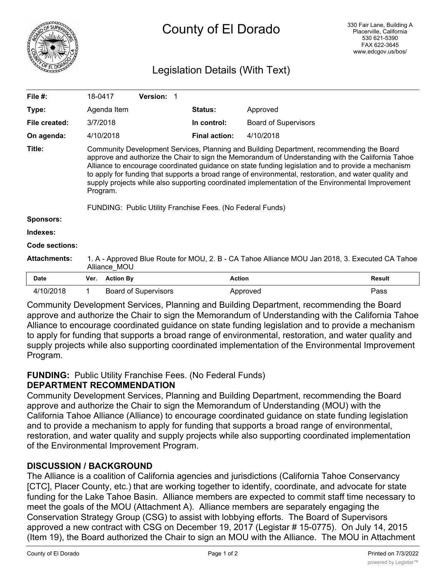

# Legislation Details (With Text)

| File $#$ :          | 18-0417                                                                                                                                                                                                                                                                                                                                                                                                                                                                                                                                                                                     |                  | <b>Version:</b>             |                      |                             |               |
|---------------------|---------------------------------------------------------------------------------------------------------------------------------------------------------------------------------------------------------------------------------------------------------------------------------------------------------------------------------------------------------------------------------------------------------------------------------------------------------------------------------------------------------------------------------------------------------------------------------------------|------------------|-----------------------------|----------------------|-----------------------------|---------------|
| Type:               |                                                                                                                                                                                                                                                                                                                                                                                                                                                                                                                                                                                             | Agenda Item      |                             | <b>Status:</b>       | Approved                    |               |
| File created:       | 3/7/2018                                                                                                                                                                                                                                                                                                                                                                                                                                                                                                                                                                                    |                  |                             | In control:          | <b>Board of Supervisors</b> |               |
| On agenda:          |                                                                                                                                                                                                                                                                                                                                                                                                                                                                                                                                                                                             | 4/10/2018        |                             | <b>Final action:</b> | 4/10/2018                   |               |
| Title:              | Community Development Services, Planning and Building Department, recommending the Board<br>approve and authorize the Chair to sign the Memorandum of Understanding with the California Tahoe<br>Alliance to encourage coordinated guidance on state funding legislation and to provide a mechanism<br>to apply for funding that supports a broad range of environmental, restoration, and water quality and<br>supply projects while also supporting coordinated implementation of the Environmental Improvement<br>Program.<br>FUNDING: Public Utility Franchise Fees. (No Federal Funds) |                  |                             |                      |                             |               |
| Sponsors:           |                                                                                                                                                                                                                                                                                                                                                                                                                                                                                                                                                                                             |                  |                             |                      |                             |               |
| Indexes:            |                                                                                                                                                                                                                                                                                                                                                                                                                                                                                                                                                                                             |                  |                             |                      |                             |               |
| Code sections:      |                                                                                                                                                                                                                                                                                                                                                                                                                                                                                                                                                                                             |                  |                             |                      |                             |               |
| <b>Attachments:</b> | 1. A - Approved Blue Route for MOU, 2. B - CA Tahoe Alliance MOU Jan 2018, 3. Executed CA Tahoe<br>Alliance MOU                                                                                                                                                                                                                                                                                                                                                                                                                                                                             |                  |                             |                      |                             |               |
| <b>Date</b>         | Ver.                                                                                                                                                                                                                                                                                                                                                                                                                                                                                                                                                                                        | <b>Action By</b> |                             | <b>Action</b>        |                             | <b>Result</b> |
| 4/10/2018           | $\mathbf 1$                                                                                                                                                                                                                                                                                                                                                                                                                                                                                                                                                                                 |                  | <b>Board of Supervisors</b> |                      | Approved                    | Pass          |

Community Development Services, Planning and Building Department, recommending the Board approve and authorize the Chair to sign the Memorandum of Understanding with the California Tahoe Alliance to encourage coordinated guidance on state funding legislation and to provide a mechanism to apply for funding that supports a broad range of environmental, restoration, and water quality and supply projects while also supporting coordinated implementation of the Environmental Improvement Program.

# **FUNDING:** Public Utility Franchise Fees. (No Federal Funds)

# **DEPARTMENT RECOMMENDATION**

Community Development Services, Planning and Building Department, recommending the Board approve and authorize the Chair to sign the Memorandum of Understanding (MOU) with the California Tahoe Alliance (Alliance) to encourage coordinated guidance on state funding legislation and to provide a mechanism to apply for funding that supports a broad range of environmental, restoration, and water quality and supply projects while also supporting coordinated implementation of the Environmental Improvement Program.

# **DISCUSSION / BACKGROUND**

The Alliance is a coalition of California agencies and jurisdictions (California Tahoe Conservancy [CTC], Placer County, etc.) that are working together to identify, coordinate, and advocate for state funding for the Lake Tahoe Basin. Alliance members are expected to commit staff time necessary to meet the goals of the MOU (Attachment A). Alliance members are separately engaging the Conservation Strategy Group (CSG) to assist with lobbying efforts. The Board of Supervisors approved a new contract with CSG on December 19, 2017 (Legistar # 15-0775). On July 14, 2015 (Item 19), the Board authorized the Chair to sign an MOU with the Alliance. The MOU in Attachment